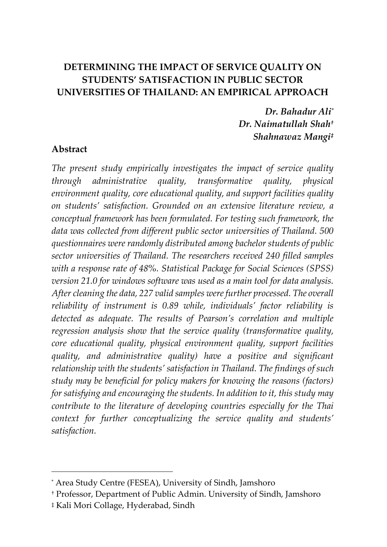## **DETERMINING THE IMPACT OF SERVICE QUALITY ON STUDENTS' SATISFACTION IN PUBLIC SECTOR UNIVERSITIES OF THAILAND: AN EMPIRICAL APPROACH**

*Dr. Bahadur Ali\* Dr. Naimatullah Shah† Shahnawaz Mangi‡*

#### **Abstract**

*The present study empirically investigates the impact of service quality through administrative quality, transformative quality, physical environment quality, core educational quality, and support facilities quality on students' satisfaction. Grounded on an extensive literature review, a conceptual framework has been formulated. For testing such framework, the data was collected from different public sector universities of Thailand. 500 questionnaires were randomly distributed among bachelor students of public sector universities of Thailand. The researchers received 240 filled samples with a response rate of 48%. Statistical Package for Social Sciences (SPSS) version 21.0 for windows software was used as a main tool for data analysis. After cleaning the data, 227 valid samples were further processed. The overall reliability of instrument is 0.89 while, individuals' factor reliability is detected as adequate. The results of Pearson's correlation and multiple regression analysis show that the service quality (transformative quality, core educational quality, physical environment quality, support facilities quality, and administrative quality) have a positive and significant relationship with the students' satisfaction in Thailand. The findings of such study may be beneficial for policy makers for knowing the reasons (factors) for satisfying and encouraging the students. In addition to it, this study may contribute to the literature of developing countries especially for the Thai context for further conceptualizing the service quality and students' satisfaction.*

 $\overline{a}$ 

<sup>\*</sup> Area Study Centre (FESEA), University of Sindh, Jamshoro

<sup>†</sup> Professor, Department of Public Admin. University of Sindh, Jamshoro

<sup>‡</sup> Kali Mori Collage, Hyderabad, Sindh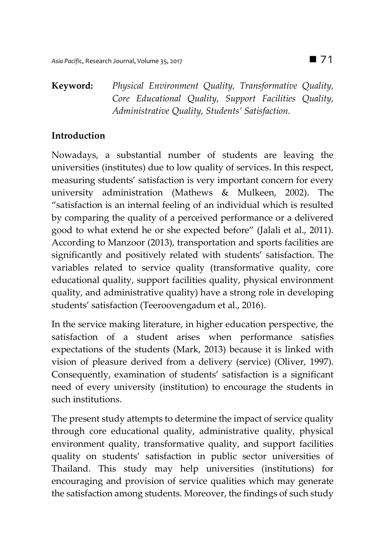# **Keyword:** *Physical Environment Quality, Transformative Quality, Core Educational Quality, Support Facilities Quality, Administrative Quality, Students' Satisfaction.*

# **Introduction**

Nowadays, a substantial number of students are leaving the universities (institutes) due to low quality of services. In this respect, measuring students' satisfaction is very important concern for every university administration (Mathews & Mulkeen, 2002). The "satisfaction is an internal feeling of an individual which is resulted by comparing the quality of a perceived performance or a delivered good to what extend he or she expected before" (Jalali et al., 2011). According to Manzoor (2013), transportation and sports facilities are significantly and positively related with students' satisfaction. The variables related to service quality (transformative quality, core educational quality, support facilities quality, physical environment quality, and administrative quality) have a strong role in developing students' satisfaction (Teeroovengadum et al., 2016).

In the service making literature, in higher education perspective, the satisfaction of a student arises when performance satisfies expectations of the students (Mark, 2013) because it is linked with vision of pleasure derived from a delivery (service) (Oliver, 1997). Consequently, examination of students' satisfaction is a significant need of every university (institution) to encourage the students in such institutions.

The present study attempts to determine the impact of service quality through core educational quality, administrative quality, physical environment quality, transformative quality, and support facilities quality on students' satisfaction in public sector universities of Thailand. This study may help universities (institutions) for encouraging and provision of service qualities which may generate the satisfaction among students. Moreover, the findings of such study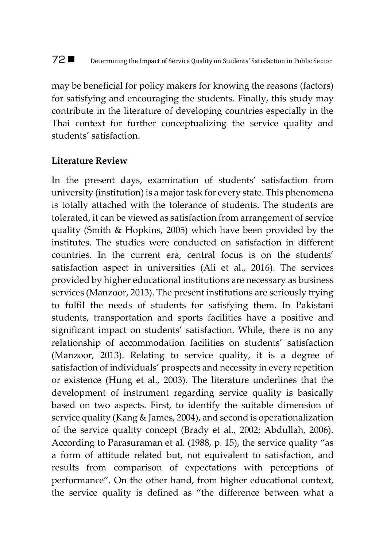# 72 ■ Determining the Impact of Service Quality on Students' Satisfaction in Public Sector

may be beneficial for policy makers for knowing the reasons (factors) for satisfying and encouraging the students. Finally, this study may contribute in the literature of developing countries especially in the Thai context for further conceptualizing the service quality and students' satisfaction.

#### **Literature Review**

In the present days, examination of students' satisfaction from university (institution) is a major task for every state. This phenomena is totally attached with the tolerance of students. The students are tolerated, it can be viewed as satisfaction from arrangement of service quality (Smith & Hopkins, 2005) which have been provided by the institutes. The studies were conducted on satisfaction in different countries. In the current era, central focus is on the students' satisfaction aspect in universities (Ali et al., 2016). The services provided by higher educational institutions are necessary as business services (Manzoor, 2013). The present institutions are seriously trying to fulfil the needs of students for satisfying them. In Pakistani students, transportation and sports facilities have a positive and significant impact on students' satisfaction. While, there is no any relationship of accommodation facilities on students' satisfaction (Manzoor, 2013). Relating to service quality, it is a degree of satisfaction of individuals' prospects and necessity in every repetition or existence (Hung et al., 2003). The literature underlines that the development of instrument regarding service quality is basically based on two aspects. First, to identify the suitable dimension of service quality (Kang & James, 2004), and second is operationalization of the service quality concept (Brady et al., 2002; Abdullah, 2006). According to Parasuraman et al. (1988, p. 15), the service quality "as a form of attitude related but, not equivalent to satisfaction, and results from comparison of expectations with perceptions of performance". On the other hand, from higher educational context, the service quality is defined as "the difference between what a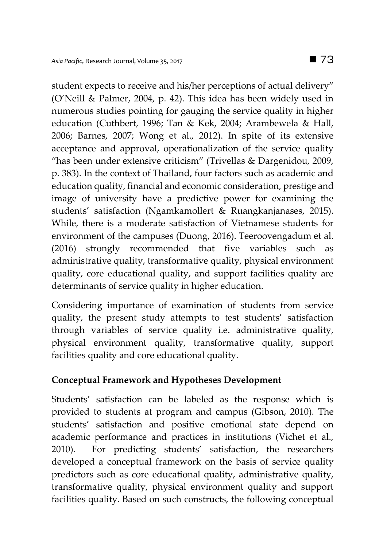student expects to receive and his/her perceptions of actual delivery" (O'Neill & Palmer, 2004, p. 42). This idea has been widely used in numerous studies pointing for gauging the service quality in higher education (Cuthbert, 1996; Tan & Kek, 2004; Arambewela & Hall, 2006; Barnes, 2007; Wong et al., 2012). In spite of its extensive acceptance and approval, operationalization of the service quality "has been under extensive criticism" (Trivellas & Dargenidou, 2009, p. 383). In the context of Thailand, four factors such as academic and education quality, financial and economic consideration, prestige and image of university have a predictive power for examining the students' satisfaction (Ngamkamollert & Ruangkanjanases, 2015). While, there is a moderate satisfaction of Vietnamese students for environment of the campuses (Duong, 2016). Teeroovengadum et al. (2016) strongly recommended that five variables such as administrative quality, transformative quality, physical environment quality, core educational quality, and support facilities quality are determinants of service quality in higher education.

Considering importance of examination of students from service quality, the present study attempts to test students' satisfaction through variables of service quality i.e. administrative quality, physical environment quality, transformative quality, support facilities quality and core educational quality.

## **Conceptual Framework and Hypotheses Development**

Students' satisfaction can be labeled as the response which is provided to students at program and campus (Gibson, 2010). The students' satisfaction and positive emotional state depend on academic performance and practices in institutions (Vichet et al., 2010). For predicting students' satisfaction, the researchers developed a conceptual framework on the basis of service quality predictors such as core educational quality, administrative quality, transformative quality, physical environment quality and support facilities quality. Based on such constructs, the following conceptual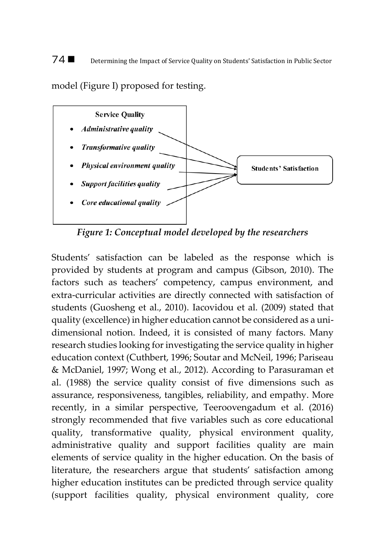#### 74 ■ Determining the Impact of Service Quality on Students' Satisfaction in Public Sector

model (Figure I) proposed for testing.



*Figure 1: Conceptual model developed by the researchers*

Students' satisfaction can be labeled as the response which is provided by students at program and campus (Gibson, 2010). The factors such as teachers' competency, campus environment, and extra-curricular activities are directly connected with satisfaction of students (Guosheng et al., 2010). Iacovidou et al. (2009) stated that quality (excellence) in higher education cannot be considered as a unidimensional notion. Indeed, it is consisted of many factors. Many research studies looking for investigating the service quality in higher education context (Cuthbert, 1996; Soutar and McNeil, 1996; Pariseau & McDaniel, 1997; Wong et al., 2012). According to Parasuraman et al. (1988) the service quality consist of five dimensions such as assurance, responsiveness, tangibles, reliability, and empathy. More recently, in a similar perspective, Teeroovengadum et al. (2016) strongly recommended that five variables such as core educational quality, transformative quality, physical environment quality, administrative quality and support facilities quality are main elements of service quality in the higher education. On the basis of literature, the researchers argue that students' satisfaction among higher education institutes can be predicted through service quality (support facilities quality, physical environment quality, core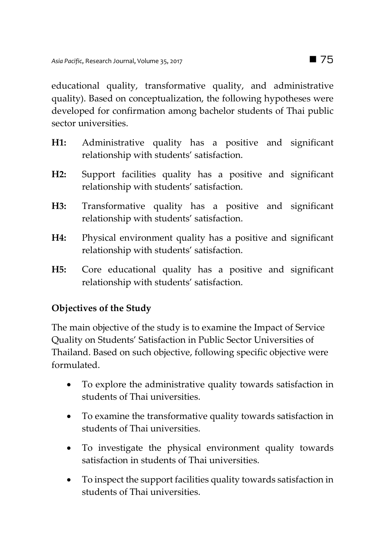educational quality, transformative quality, and administrative quality). Based on conceptualization, the following hypotheses were developed for confirmation among bachelor students of Thai public sector universities.

- **H1:** Administrative quality has a positive and significant relationship with students' satisfaction.
- **H2:** Support facilities quality has a positive and significant relationship with students' satisfaction.
- **H3:** Transformative quality has a positive and significant relationship with students' satisfaction.
- **H4:** Physical environment quality has a positive and significant relationship with students' satisfaction.
- **H5:** Core educational quality has a positive and significant relationship with students' satisfaction.

## **Objectives of the Study**

The main objective of the study is to examine the Impact of Service Quality on Students' Satisfaction in Public Sector Universities of Thailand. Based on such objective, following specific objective were formulated.

- To explore the administrative quality towards satisfaction in students of Thai universities.
- To examine the transformative quality towards satisfaction in students of Thai universities.
- To investigate the physical environment quality towards satisfaction in students of Thai universities.
- To inspect the support facilities quality towards satisfaction in students of Thai universities.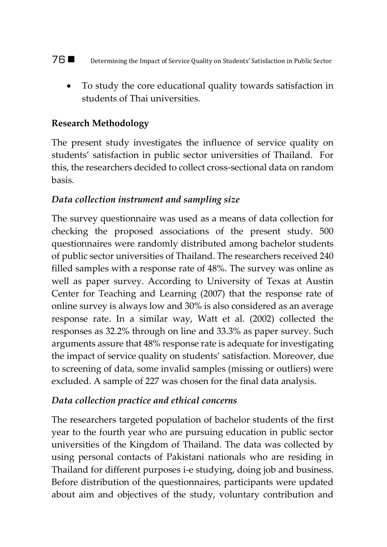- 76 Determining the Impact of Service Quality on Students' Satisfaction in Public Sector
	- To study the core educational quality towards satisfaction in students of Thai universities.

## **Research Methodology**

The present study investigates the influence of service quality on students' satisfaction in public sector universities of Thailand. For this, the researchers decided to collect cross-sectional data on random basis.

## *Data collection instrument and sampling size*

The survey questionnaire was used as a means of data collection for checking the proposed associations of the present study. 500 questionnaires were randomly distributed among bachelor students of public sector universities of Thailand. The researchers received 240 filled samples with a response rate of 48%. The survey was online as well as paper survey. According to University of Texas at Austin Center for Teaching and Learning (2007) that the response rate of online survey is always low and 30% is also considered as an average response rate. In a similar way, Watt et al. (2002) collected the responses as 32.2% through on line and 33.3% as paper survey. Such arguments assure that 48% response rate is adequate for investigating the impact of service quality on students' satisfaction. Moreover, due to screening of data, some invalid samples (missing or outliers) were excluded. A sample of 227 was chosen for the final data analysis.

## *Data collection practice and ethical concerns*

The researchers targeted population of bachelor students of the first year to the fourth year who are pursuing education in public sector universities of the Kingdom of Thailand. The data was collected by using personal contacts of Pakistani nationals who are residing in Thailand for different purposes i-e studying, doing job and business. Before distribution of the questionnaires, participants were updated about aim and objectives of the study, voluntary contribution and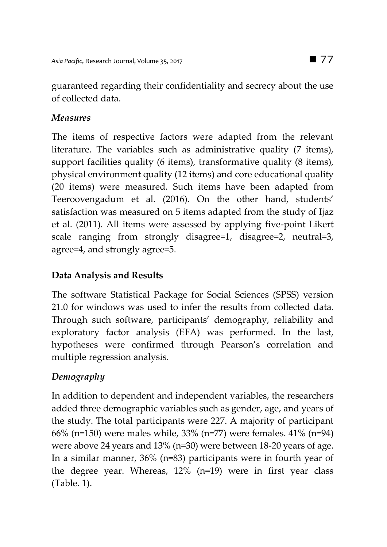guaranteed regarding their confidentiality and secrecy about the use of collected data.

### *Measures*

The items of respective factors were adapted from the relevant literature. The variables such as administrative quality (7 items), support facilities quality (6 items), transformative quality (8 items), physical environment quality (12 items) and core educational quality (20 items) were measured. Such items have been adapted from Teeroovengadum et al. (2016). On the other hand, students' satisfaction was measured on 5 items adapted from the study of Ijaz et al. (2011). All items were assessed by applying five-point Likert scale ranging from strongly disagree=1, disagree=2, neutral=3, agree=4, and strongly agree=5.

## **Data Analysis and Results**

The software Statistical Package for Social Sciences (SPSS) version 21.0 for windows was used to infer the results from collected data. Through such software, participants' demography, reliability and exploratory factor analysis (EFA) was performed. In the last, hypotheses were confirmed through Pearson's correlation and multiple regression analysis.

## *Demography*

In addition to dependent and independent variables, the researchers added three demographic variables such as gender, age, and years of the study. The total participants were 227. A majority of participant 66% (n=150) were males while, 33% (n=77) were females. 41% (n=94) were above 24 years and 13% (n=30) were between 18-20 years of age. In a similar manner, 36% (n=83) participants were in fourth year of the degree year. Whereas, 12% (n=19) were in first year class (Table. 1).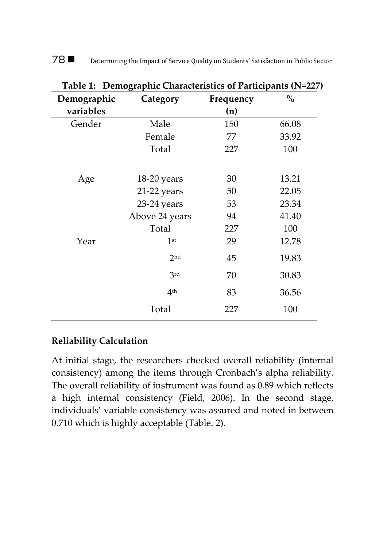| 78∎<br>Determining the Impact of Service Quality on Students' Satisfaction in Public Sector |
|---------------------------------------------------------------------------------------------|
|---------------------------------------------------------------------------------------------|

| Table 1: Demographic Characteristics of Participants (N=227) |                 |           |               |  |  |  |  |
|--------------------------------------------------------------|-----------------|-----------|---------------|--|--|--|--|
| Demographic                                                  | Category        | Frequency | $\frac{0}{0}$ |  |  |  |  |
| variables                                                    |                 | (n)       |               |  |  |  |  |
| Gender                                                       | Male            | 150       | 66.08         |  |  |  |  |
|                                                              | Female          | 77        | 33.92         |  |  |  |  |
|                                                              | Total           | 227       | 100           |  |  |  |  |
|                                                              |                 |           |               |  |  |  |  |
| Age                                                          | 18-20 years     | 30        | 13.21         |  |  |  |  |
|                                                              | 21-22 years     | 50        | 22.05         |  |  |  |  |
|                                                              | 23-24 years     | 53        | 23.34         |  |  |  |  |
|                                                              | Above 24 years  | 94        | 41.40         |  |  |  |  |
|                                                              | Total           | 227       | 100           |  |  |  |  |
| Year                                                         | 1 <sup>st</sup> | 29        | 12.78         |  |  |  |  |
|                                                              | 2nd             | 45        | 19.83         |  |  |  |  |
|                                                              | 3rd             | 70        | 30.83         |  |  |  |  |
|                                                              | 4 <sup>th</sup> | 83        | 36.56         |  |  |  |  |
|                                                              | Total           | 227       | 100           |  |  |  |  |

**Table 1:****Demographic Characteristics of Participants (N=227)**

# **Reliability Calculation**

At initial stage, the researchers checked overall reliability (internal consistency) among the items through Cronbach's alpha reliability. The overall reliability of instrument was found as 0.89 which reflects a high internal consistency (Field, 2006). In the second stage, individuals' variable consistency was assured and noted in between 0.710 which is highly acceptable (Table. 2).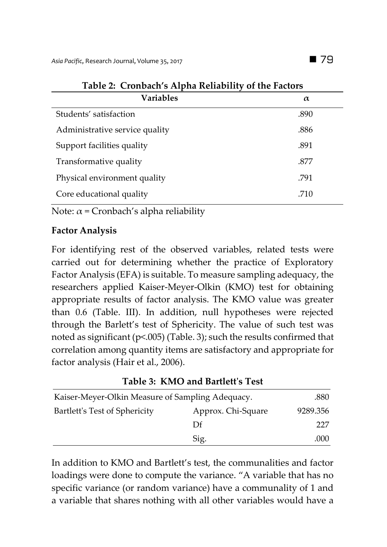| <b>Variables</b>               | $\alpha$ |
|--------------------------------|----------|
| Students' satisfaction         | .890     |
| Administrative service quality | .886     |
| Support facilities quality     | .891     |
| Transformative quality         | .877     |
| Physical environment quality   | .791     |
| Core educational quality       | .710     |

Note:  $\alpha$  = Cronbach's alpha reliability

## **Factor Analysis**

For identifying rest of the observed variables, related tests were carried out for determining whether the practice of Exploratory Factor Analysis (EFA) is suitable. To measure sampling adequacy, the researchers applied Kaiser-Meyer-Olkin (KMO) test for obtaining appropriate results of factor analysis. The KMO value was greater than 0.6 (Table. III). In addition, null hypotheses were rejected through the Barlett's test of Sphericity. The value of such test was noted as significant (p<.005) (Table. 3); such the results confirmed that correlation among quantity items are satisfactory and appropriate for factor analysis (Hair et al., 2006).

## **Table 3: KMO and Bartlett's Test**

| Kaiser-Meyer-Olkin Measure of Sampling Adequacy. | .880               |          |
|--------------------------------------------------|--------------------|----------|
| Bartlett's Test of Sphericity                    | Approx. Chi-Square | 9289.356 |
|                                                  | Df                 | 227      |
|                                                  | Sig.               | .000     |

In addition to KMO and Bartlett's test, the communalities and factor loadings were done to compute the variance. "A variable that has no specific variance (or random variance) have a communality of 1 and a variable that shares nothing with all other variables would have a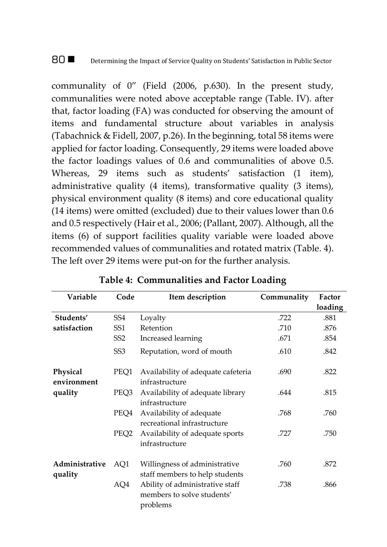#### 80  $\blacksquare$  Determining the Impact of Service Quality on Students' Satisfaction in Public Sector

communality of 0" (Field (2006, p.630). In the present study, communalities were noted above acceptable range (Table. IV). after that, factor loading (FA) was conducted for observing the amount of items and fundamental structure about variables in analysis (Tabachnick & Fidell, 2007, p.26). In the beginning, total 58 items were applied for factor loading. Consequently, 29 items were loaded above the factor loadings values of 0.6 and communalities of above 0.5. Whereas, 29 items such as students' satisfaction (1 item), administrative quality (4 items), transformative quality (3 items), physical environment quality (8 items) and core educational quality (14 items) were omitted (excluded) due to their values lower than 0.6 and 0.5 respectively (Hair et al., 2006; (Pallant, 2007). Although, all the items (6) of support facilities quality variable were loaded above recommended values of communalities and rotated matrix (Table. 4). The left over 29 items were put-on for the further analysis.

| Variable                  | Code             | Item description                                                          | Communality | Factor  |
|---------------------------|------------------|---------------------------------------------------------------------------|-------------|---------|
|                           |                  |                                                                           |             | loading |
| Students'                 | SS <sub>4</sub>  | Loyalty                                                                   | .722        | .881    |
| satisfaction              | SS <sub>1</sub>  | Retention                                                                 | .710        | .876    |
|                           | SS <sub>2</sub>  | Increased learning                                                        | .671        | .854    |
|                           | SS <sub>3</sub>  | Reputation, word of mouth                                                 | .610        | .842    |
| Physical<br>environment   | PEO1             | Availability of adequate cafeteria<br>infrastructure                      | .690        | .822    |
| quality                   | PEQ3             | Availability of adequate library<br>infrastructure                        | .644        | .815    |
|                           | PEQ4             | Availability of adequate<br>recreational infrastructure                   | .768        | .760    |
|                           | PEQ <sub>2</sub> | Availability of adequate sports<br>infrastructure                         | .727        | .750    |
| Administrative<br>quality | AQ1              | Willingness of administrative<br>staff members to help students           | .760        | .872    |
|                           | AQ4              | Ability of administrative staff<br>members to solve students'<br>problems | .738        | .866    |

#### **Table 4: Communalities and Factor Loading**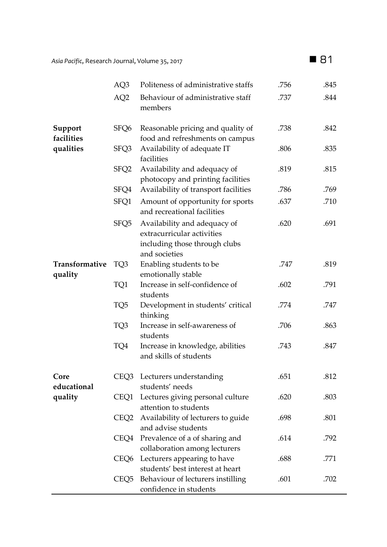|--|--|

 $\overline{a}$ 

|                           | AQ3              | Politeness of administrative staffs                                                                          | .756 | .845 |
|---------------------------|------------------|--------------------------------------------------------------------------------------------------------------|------|------|
|                           | AQ <sub>2</sub>  | Behaviour of administrative staff<br>members                                                                 | .737 | .844 |
| Support<br>facilities     | SFQ6             | Reasonable pricing and quality of<br>food and refreshments on campus                                         | .738 | .842 |
| qualities                 | SFQ3             | Availability of adequate IT<br>facilities                                                                    | .806 | .835 |
|                           | SFQ <sub>2</sub> | Availability and adequacy of<br>photocopy and printing facilities                                            | .819 | .815 |
|                           | SFQ4             | Availability of transport facilities                                                                         | .786 | .769 |
|                           | SFQ1             | Amount of opportunity for sports<br>and recreational facilities                                              | .637 | .710 |
|                           | SFQ <sub>5</sub> | Availability and adequacy of<br>extracurricular activities<br>including those through clubs<br>and societies | .620 | .691 |
| Transformative<br>quality | TQ3              | Enabling students to be<br>emotionally stable                                                                | .747 | .819 |
|                           | TQ1              | Increase in self-confidence of<br>students                                                                   | .602 | .791 |
|                           | TQ <sub>5</sub>  | Development in students' critical<br>thinking                                                                | .774 | .747 |
|                           | TQ3              | Increase in self-awareness of<br>students                                                                    | .706 | .863 |
|                           | TQ4              | Increase in knowledge, abilities<br>and skills of students                                                   | .743 | .847 |
| Core<br>educational       |                  | CEQ3 Lecturers understanding<br>students' needs                                                              | .651 | .812 |
| quality                   | CEQ1             | Lectures giving personal culture<br>attention to students                                                    | .620 | .803 |
|                           | CEQ2             | Availability of lecturers to guide<br>and advise students                                                    | .698 | .801 |
|                           | CEQ4             | Prevalence of a of sharing and<br>collaboration among lecturers                                              | .614 | .792 |
|                           | CEQ6             | Lecturers appearing to have<br>students' best interest at heart                                              | .688 | .771 |
|                           | CEQ5             | Behaviour of lecturers instilling<br>confidence in students                                                  | .601 | .702 |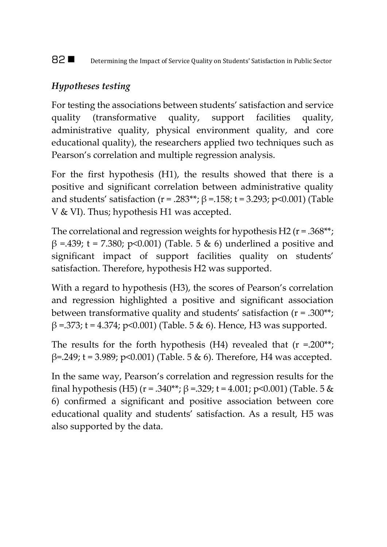82 **Determining the Impact of Service Quality on Students' Satisfaction in Public Sector** 

## *Hypotheses testing*

For testing the associations between students' satisfaction and service quality (transformative quality, support facilities quality, administrative quality, physical environment quality, and core educational quality), the researchers applied two techniques such as Pearson's correlation and multiple regression analysis.

For the first hypothesis (H1), the results showed that there is a positive and significant correlation between administrative quality and students' satisfaction (r = .283\*\*; β =.158; t = 3.293; p < 0.001) (Table V & VI). Thus; hypothesis H1 was accepted.

The correlational and regression weights for hypothesis H2 ( $r = .368**;$ β =.439; t = 7.380; p<0.001) (Table. 5 & 6) underlined a positive and significant impact of support facilities quality on students' satisfaction. Therefore, hypothesis H2 was supported.

With a regard to hypothesis (H3), the scores of Pearson's correlation and regression highlighted a positive and significant association between transformative quality and students' satisfaction (r = .300\*\*;  $β = .373$ ; t = 4.374; p < 0.001) (Table. 5 & 6). Hence, H3 was supported.

The results for the forth hypothesis  $(H4)$  revealed that  $(r = .200^{**})$ ;  $β=0.249$ ; t = 3.989; p<0.001) (Table. 5 & 6). Therefore, H4 was accepted.

In the same way, Pearson's correlation and regression results for the final hypothesis (H5) (r = .340\*\*;  $\beta$  = .329; t = 4.001; p<0.001) (Table. 5 & 6) confirmed a significant and positive association between core educational quality and students' satisfaction. As a result, H5 was also supported by the data.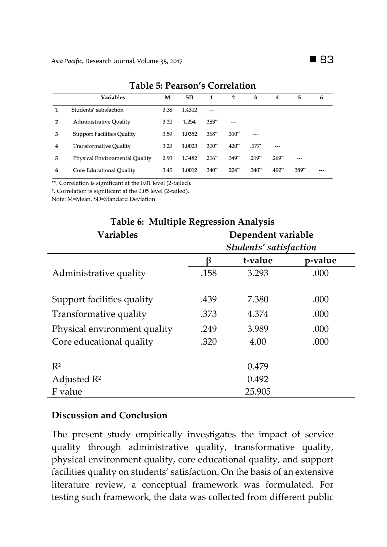|   | Table 9. I calsult 5 Culteration  |      |        |          |           |          |          |       |   |
|---|-----------------------------------|------|--------|----------|-----------|----------|----------|-------|---|
|   | <b>Variables</b>                  | M    | SD     | 1        | 2         | 3        | 4        | 5     | 6 |
|   | Students' satisfaction            | 3.38 | 1.4312 | ---      |           |          |          |       |   |
| 2 | <b>Administrative Quality</b>     | 3.20 | 1.254  | .283"    | ---       |          |          |       |   |
| 3 | <b>Support Facilities Quality</b> | 3.59 | 1.0352 | .368"    | .310"     | ---      |          |       |   |
| 4 | <b>Transformative Quality</b>     | 3.29 | 1.0023 | .300"    | $.420**$  | $.177^*$ | ---      |       |   |
| 5 | Physical Environmental Quality    | 2.93 | 1.3482 | .206"    | .349"     | .219"    | .269"    | ---   |   |
| 6 | Core Educational Quality          | 3.45 | 1.0012 | $.340**$ | $.224$ ** | $.340**$ | $.402**$ | .389" |   |

#### **Table 5: Pearson's Correlation**

\*\*. Correlation is significant at the 0.01 level (2-tailed).

\*. Correlation is significant at the 0.05 level (2-tailed).

Note: M=Mean, SD=Standard Deviation

| <b>Table 6: Multiple Regression Analysis</b> |                        |         |         |  |  |  |
|----------------------------------------------|------------------------|---------|---------|--|--|--|
| <b>Variables</b>                             | Dependent variable     |         |         |  |  |  |
|                                              | Students' satisfaction |         |         |  |  |  |
|                                              | ß                      | t-value | p-value |  |  |  |
| Administrative quality                       | .158                   | 3.293   | .000    |  |  |  |
| Support facilities quality                   | .439                   | 7.380   | .000    |  |  |  |
| Transformative quality                       | .373                   | 4.374   | .000    |  |  |  |
| Physical environment quality                 | .249                   | 3.989   | .000    |  |  |  |
| Core educational quality                     | .320                   | 4.00    | .000    |  |  |  |
| $R^2$                                        |                        | 0.479   |         |  |  |  |
| Adjusted $R^2$                               |                        | 0.492   |         |  |  |  |
| F value                                      |                        | 25.905  |         |  |  |  |

#### **Discussion and Conclusion**

The present study empirically investigates the impact of service quality through administrative quality, transformative quality, physical environment quality, core educational quality, and support facilities quality on students' satisfaction. On the basis of an extensive literature review, a conceptual framework was formulated. For testing such framework, the data was collected from different public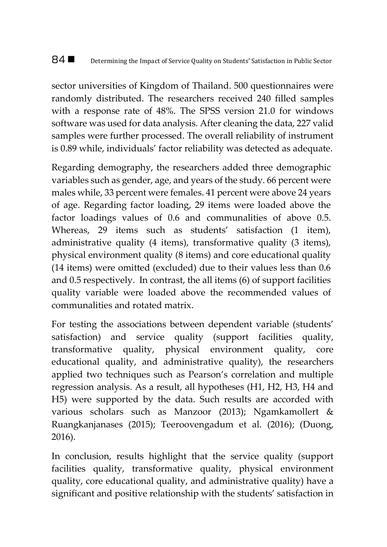### 84  $\blacksquare$  Determining the Impact of Service Quality on Students' Satisfaction in Public Sector

sector universities of Kingdom of Thailand. 500 questionnaires were randomly distributed. The researchers received 240 filled samples with a response rate of 48%. The SPSS version 21.0 for windows software was used for data analysis. After cleaning the data, 227 valid samples were further processed. The overall reliability of instrument is 0.89 while, individuals' factor reliability was detected as adequate.

Regarding demography, the researchers added three demographic variables such as gender, age, and years of the study. 66 percent were males while, 33 percent were females. 41 percent were above 24 years of age. Regarding factor loading, 29 items were loaded above the factor loadings values of 0.6 and communalities of above 0.5. Whereas, 29 items such as students' satisfaction (1 item), administrative quality (4 items), transformative quality (3 items), physical environment quality (8 items) and core educational quality (14 items) were omitted (excluded) due to their values less than 0.6 and 0.5 respectively. In contrast, the all items (6) of support facilities quality variable were loaded above the recommended values of communalities and rotated matrix.

For testing the associations between dependent variable (students' satisfaction) and service quality (support facilities quality, transformative quality, physical environment quality, core educational quality, and administrative quality), the researchers applied two techniques such as Pearson's correlation and multiple regression analysis. As a result, all hypotheses (H1, H2, H3, H4 and H5) were supported by the data. Such results are accorded with various scholars such as Manzoor (2013); Ngamkamollert & Ruangkanjanases (2015); Teeroovengadum et al. (2016); (Duong, 2016).

In conclusion, results highlight that the service quality (support facilities quality, transformative quality, physical environment quality, core educational quality, and administrative quality) have a significant and positive relationship with the students' satisfaction in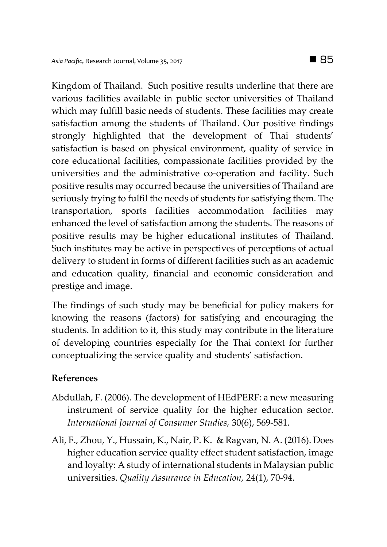Kingdom of Thailand. Such positive results underline that there are various facilities available in public sector universities of Thailand which may fulfill basic needs of students. These facilities may create satisfaction among the students of Thailand. Our positive findings strongly highlighted that the development of Thai students' satisfaction is based on physical environment, quality of service in core educational facilities, compassionate facilities provided by the universities and the administrative co-operation and facility. Such positive results may occurred because the universities of Thailand are seriously trying to fulfil the needs of students for satisfying them. The transportation, sports facilities accommodation facilities may enhanced the level of satisfaction among the students. The reasons of positive results may be higher educational institutes of Thailand. Such institutes may be active in perspectives of perceptions of actual delivery to student in forms of different facilities such as an academic and education quality, financial and economic consideration and prestige and image.

The findings of such study may be beneficial for policy makers for knowing the reasons (factors) for satisfying and encouraging the students. In addition to it, this study may contribute in the literature of developing countries especially for the Thai context for further conceptualizing the service quality and students' satisfaction.

## **References**

- Abdullah, F. (2006). The development of HEdPERF: a new measuring instrument of service quality for the higher education sector. *International Journal of Consumer Studies,* 30(6), 569-581.
- Ali, F., Zhou, Y., Hussain, K., Nair, P. K. & Ragvan, N. A. (2016). Does higher education service quality effect student satisfaction, image and loyalty: A study of international students in Malaysian public universities. *Quality Assurance in Education,* 24(1), 70-94.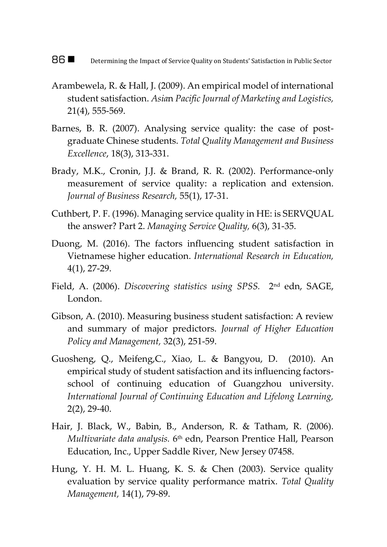#### 86  $\blacksquare$  Determining the Impact of Service Quality on Students' Satisfaction in Public Sector

- Arambewela, R. & Hall, J. (2009). An empirical model of international student satisfaction. *Asia*n *Pacific Journal of Marketing and Logistics,*  21(4), 555-569.
- Barnes, B. R. (2007). Analysing service quality: the case of postgraduate Chinese students. *Total Quality Management and Business Excellence*, 18(3), 313-331.
- Brady, M.K., Cronin, J.J. & Brand, R. R. (2002). Performance-only measurement of service quality: a replication and extension. *Journal of Business Research,* 55(1), 17-31.
- Cuthbert, P. F. (1996). Managing service quality in HE: is SERVQUAL the answer? Part 2. *Managing Service Quality,* 6(3), 31-35.
- Duong, M. (2016). The factors influencing student satisfaction in Vietnamese higher education. *International Research in Education,* 4(1), 27-29.
- Field, A. (2006). *Discovering statistics using SPSS.* 2 nd edn, SAGE, London.
- Gibson, A. (2010). Measuring business student satisfaction: A review and summary of major predictors. *Journal of Higher Education Policy and Management,* 32(3), 251-59.
- Guosheng, Q., Meifeng,C., Xiao, L. & Bangyou, D. (2010). An empirical study of student satisfaction and its influencing factorsschool of continuing education of Guangzhou university. *International Journal of Continuing Education and Lifelong Learning,* 2(2), 29-40.
- Hair, J. Black, W., Babin, B., Anderson, R. & Tatham, R. (2006). *Multivariate data analysis.* 6 th edn, Pearson Prentice Hall, Pearson Education, Inc., Upper Saddle River, New Jersey 07458.
- Hung, Y. H. M. L. Huang, K. S. & Chen (2003). Service quality evaluation by service quality performance matrix. *Total Quality Management,* 14(1), 79-89.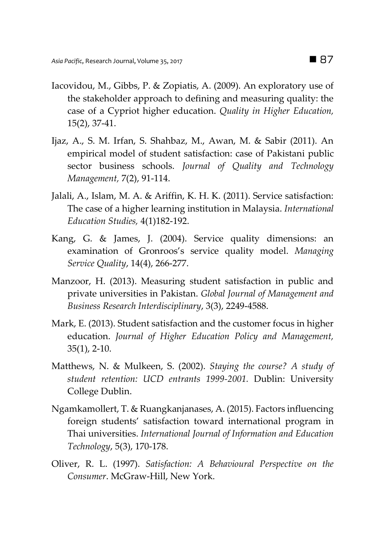- Iacovidou, M., Gibbs, P. & Zopiatis, A. (2009). An exploratory use of the stakeholder approach to defining and measuring quality: the case of a Cypriot higher education. *Quality in Higher Education,* 15(2), 37-41.
- Ijaz, A., S. M. Irfan, S. Shahbaz, M., Awan, M. & Sabir (2011). An empirical model of student satisfaction: case of Pakistani public sector business schools. *Journal of Quality and Technology Management,* 7(2), 91-114.
- Jalali, A., Islam, M. A. & Ariffin, K. H. K. (2011). Service satisfaction: The case of a higher learning institution in Malaysia. *International Education Studies,* 4(1)182-192.
- Kang, G. & James, J. (2004). Service quality dimensions: an examination of Gronroos's service quality model. *Managing Service Quality*, 14(4), 266-277.
- Manzoor, H. (2013). Measuring student satisfaction in public and private universities in Pakistan. *Global Journal of Management and Business Research Interdisciplinary*, 3(3), 2249-4588.
- Mark, E. (2013). Student satisfaction and the customer focus in higher education. *Journal of Higher Education Policy and Management,*  35(1), 2-10.
- Matthews, N. & Mulkeen, S. (2002). *Staying the course? A study of student retention: UCD entrants 1999-2001.* Dublin: University College Dublin.
- Ngamkamollert, T. & Ruangkanjanases, A. (2015). Factors influencing foreign students' satisfaction toward international program in Thai universities. *International Journal of Information and Education Technology*, 5(3), 170-178.
- Oliver, R. L. (1997). *Satisfaction: A Behavioural Perspective on the Consumer*. McGraw-Hill, New York.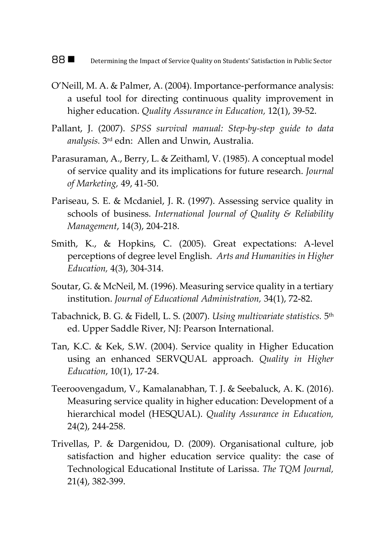88 **Determining the Impact of Service Quality on Students' Satisfaction in Public Sector** 

- O'Neill, M. A. & Palmer, A. (2004). Importance-performance analysis: a useful tool for directing continuous quality improvement in higher education. *Quality Assurance in Education,* 12(1), 39-52.
- Pallant, J. (2007). *SPSS survival manual: Step-by-step guide to data analysis.* 3 rd edn: Allen and Unwin, Australia.
- Parasuraman, A., Berry, L. & Zeithaml, V. (1985). A conceptual model of service quality and its implications for future research. *Journal of Marketing,* 49, 41-50.
- Pariseau, S. E. & Mcdaniel, J. R. (1997). Assessing service quality in schools of business. *International Journal of Quality & Reliability Management*, 14(3), 204-218.
- Smith, K., & Hopkins, C. (2005). Great expectations: A-level perceptions of degree level English. *Arts and Humanities in Higher Education,* 4(3), 304-314.
- Soutar, G. & McNeil, M. (1996). Measuring service quality in a tertiary institution. *Journal of Educational Administration,* 34(1), 72-82.
- Tabachnick, B. G. & Fidell, L. S. (2007). *Using multivariate statistics.* 5 th ed. Upper Saddle River, NJ: Pearson International.
- Tan, K.C. & Kek, S.W. (2004). Service quality in Higher Education using an enhanced SERVQUAL approach. *Quality in Higher Education*, 10(1), 17-24.
- Teeroovengadum, V., Kamalanabhan, T. J. & Seebaluck, A. K. (2016). Measuring service quality in higher education: Development of a hierarchical model (HESQUAL). *Quality Assurance in Education,*  24(2), 244-258.
- Trivellas, P. & Dargenidou, D. (2009). Organisational culture, job satisfaction and higher education service quality: the case of Technological Educational Institute of Larissa. *The TQM Journal,*  21(4), 382-399.